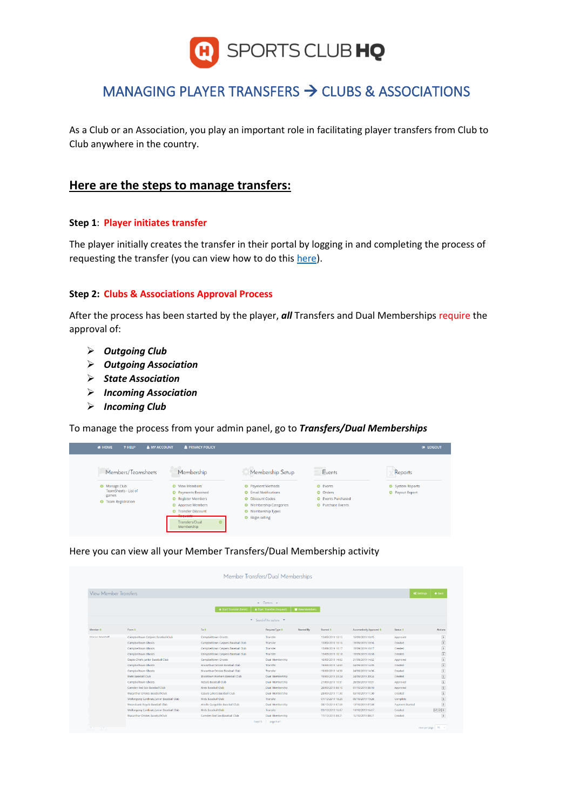

# MANAGING PLAYER TRANSFERS → CLUBS & ASSOCIATIONS

As a Club or an Association, you play an important role in facilitating player transfers from Club to Club anywhere in the country.

# **Here are the steps to manage transfers:**

#### **Step 1**: **Player initiates transfer**

The player initially creates the transfer in their portal by logging in and completing the process of requesting the transfer (you can view how to do this [here\)](https://www.baseballnsw.com.au/how-tos---clubs.html).

### **Step 2: Clubs & Associations Approval Process**

After the process has been started by the player, *all* Transfers and Dual Memberships require the approval of:

- ➢ *Outgoing Club*
- ➢ *Outgoing Association*
- ➢ *State Association*
- ➢ *Incoming Association*
- ➢ *Incoming Club*

To manage the process from your admin panel, go to *Transfers/Dual Memberships*

| <b># HOME</b><br>? HELP<br><b>A MY ACCOUNT</b> | <b>&amp; PRIVACY POLICY</b>             |                                |                          | <b>E</b> LOGOUT        |
|------------------------------------------------|-----------------------------------------|--------------------------------|--------------------------|------------------------|
| Members/Teamsheets                             | Membership                              | Membership Setup               | Events                   | Reports                |
| <b>O</b> Manage Club                           | O View Members                          | <b>O</b> Payment Methods       | O Events                 | System Reports         |
| TeamSheets - List of                           | <b>O</b> Payments Received              | <b>O</b> Email Notifications   | O Orders                 | <b>O</b> Payout Report |
| games<br><b>O</b> Team Registration            | <b>O</b> Register Members               | <b>O</b> Discount Codes        | C Events Purchased       |                        |
|                                                | Approve Members                         | <b>O</b> Membership Categories | <b>O</b> Purchase Events |                        |
|                                                | <b>O</b> Transfer Discount              | O Membership Types             |                          |                        |
|                                                | <b>Denuarte</b>                         | <b>O</b> Begin selling         |                          |                        |
|                                                | Transfers/Dual<br>$\circ$<br>Membership |                                |                          |                        |
|                                                |                                         |                                |                          |                        |

Here you can view all your Member Transfers/Dual Membership activity

| <b>View Member Transfers</b> |                                           |                                    |                                   |                   |                  |                          | of Settings            | $\leftarrow$ Back |
|------------------------------|-------------------------------------------|------------------------------------|-----------------------------------|-------------------|------------------|--------------------------|------------------------|-------------------|
|                              |                                           |                                    | $\triangle$ Options $\triangle$   |                   |                  |                          |                        |                   |
|                              |                                           | Start Transfer (Send)              | <b>4 Start Transfer (Request)</b> | Wew Members       |                  |                          |                        |                   |
|                              |                                           |                                    | * Search/filter options *         |                   |                  |                          |                        |                   |
| Member #                     | From ±                                    | To #                               | Request Type #                    | <b>Started By</b> | Started #        | Automatically Approved # | Status #               | Actions           |
| Mason Waestaff               | Campbelltown Caspers Baseball Club        | Campbelltown Ghosts                | Transfer                          |                   | 13/09/2019 10:15 | 18/09/2019 10:15         | Approved               |                   |
|                              | Campbelltown Ghosts                       | Campbelltown Caspers Baseball Club | <b>Transfer</b>                   |                   | 13/09/2019 10:16 | 18/09/2019 10:16         | Created                |                   |
|                              | Campbelltown Ghosts                       | Campbelltown Caspers Baseball Club | Transfer                          |                   | 13/09/2019 10:17 | 18/09/2019 10:17         | Created                |                   |
|                              | Campbelltown Ghosts                       | Campbelltown Caspers Baseball Club | Transfer                          |                   | 13/09/2019 10:18 | 18/09/2019 10:18         | Created                |                   |
|                              | Dapto Chiefs Junior Baseball Club         | Campbelltown Ghosts                | Dual Membership                   |                   | 16/09/2019 14:02 | 21/09/2019 14:02         | Approved               |                   |
|                              | Campbelltown Ghosts                       | Macarthur Orioles Baseball Club    | Transfer                          |                   | 19/09/2019 14:05 | 24/09/2019 14:05         | Created                |                   |
|                              | Campbelltown Ghosts                       | Macarthur Orioles Baseball Club    | Transfer                          |                   | 19/09/2019 14:36 | 24/09/2019 14:36         | Created                |                   |
|                              | Mets Baseball Club                        | Blacktown Workers Baseball Club    | Dual Membership                   |                   | 19/09/2019 20:24 | 24/09/2019 20:24         | Created                |                   |
|                              | Campbeltown Ghosts                        | Rebels Baseball Club               | Dual Membership                   |                   | 21/09/2019 10:31 | 26/09/2019 10:31         | Approved               |                   |
|                              | Camden Red Sox Baseball Club              | Mets Baseball Club                 | Dual Membership                   |                   | 26/09/2019 08:10 | 01/10/2019 08:10         | Approved               |                   |
|                              | Macarthur Orioles Baseball Club           | Casula Lakers Baseball Club        | Dual Membership                   |                   | 28/09/2019 11:30 | 03/10/2019 11:30         | Created                |                   |
|                              | Wollongong Cardinals Junior Baseball Club | Mets Baseball Club                 | Transfer                          |                   | 01/10/2019 18:26 | 06/10/2019 19:26         | Complete               |                   |
|                              | Moorebank Royals Baseball Club            | Ainslie Gungahlin Baseball Club    | <b>Dual Membership</b>            |                   | 08/10/2019 07:58 | 13/10/2019 07:58         | <b>Payment Started</b> |                   |
|                              | Wollongong Cardinals Junior Baseball Club | Mets Baseball Club                 | Transfer                          |                   | 09/10/2019 16:07 | 14/10/2019 16:07         | Created                | 901               |
|                              | Macarthur Orioles Baseball Club           | Camden Red Sox Baseball Club       | Dual Membership                   |                   | 11/10/2019 08:21 | 16/10/2019 08:21         | Created                |                   |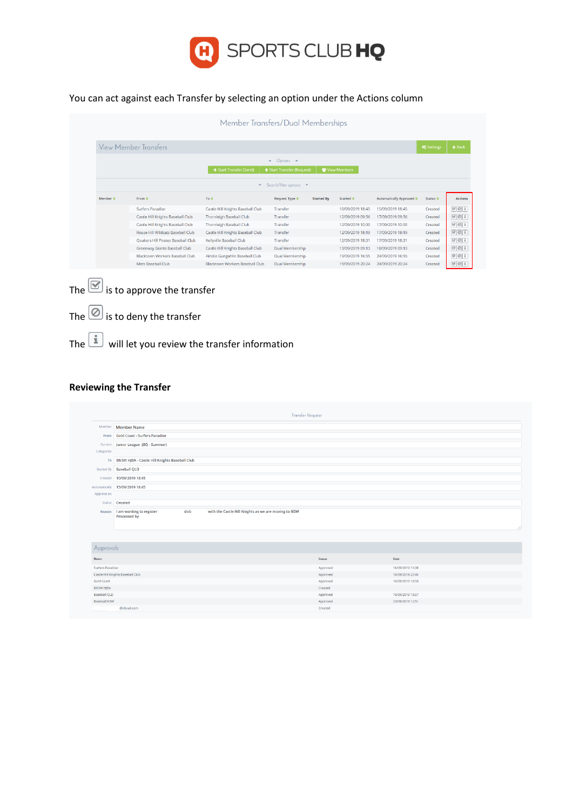

# You can act against each Transfer by selecting an option under the Actions column

|                          |                                           | Member Transfers/Dual Memberships |                                 |                   |                      |                          |                                |                                                                                                                                                                                                                                           |
|--------------------------|-------------------------------------------|-----------------------------------|---------------------------------|-------------------|----------------------|--------------------------|--------------------------------|-------------------------------------------------------------------------------------------------------------------------------------------------------------------------------------------------------------------------------------------|
|                          | View Member Transfers                     |                                   |                                 |                   |                      |                          | <b>O</b> <sup>e</sup> Settings | $\leftarrow$ Back                                                                                                                                                                                                                         |
|                          |                                           |                                   | Options $\triangle$<br>$\Delta$ |                   |                      |                          |                                |                                                                                                                                                                                                                                           |
|                          |                                           | Start Transfer (Send)             | ← Start Transfer (Request)      |                   | Wew Members          |                          |                                |                                                                                                                                                                                                                                           |
|                          |                                           | $\mathbf{v}$                      | Search/filter options $\bullet$ |                   |                      |                          |                                |                                                                                                                                                                                                                                           |
| Member $\Leftrightarrow$ | From $\triangleq$                         | To $\bullet$                      | <b>Request Type ♦</b>           | <b>Started By</b> | Started <sup>o</sup> | Automatically Approved ● | Status <b>≑</b>                |                                                                                                                                                                                                                                           |
|                          | Surfers Paradise                          | Castle Hill Knights Baseball Club | Transfer                        |                   | 10/09/2019 18:45     | 15/09/2019 18:45         | Created                        | $\mathbb{Z}[\mathbb{Q}]$ i                                                                                                                                                                                                                |
|                          | Castle Hill Knights Baseball Club         | Thornleigh Baseball Club          | Transfer                        |                   |                      |                          |                                |                                                                                                                                                                                                                                           |
|                          |                                           |                                   |                                 |                   | 12/09/2019 09:56     | 17/09/2019 09:56         | Created                        |                                                                                                                                                                                                                                           |
|                          | Castle Hill Knights Baseball Club         | Thornleigh Baseball Club          | Transfer                        |                   | 12/09/2019 10:00     | 17/09/2019 10:00         | Created                        |                                                                                                                                                                                                                                           |
|                          | Rouse Hill Wildcats Baseball Club         | Castle Hill Knights Baseball Club | Transfer                        |                   | 12/09/2019 18:19     | 17/09/2019 18:19         | Created                        |                                                                                                                                                                                                                                           |
|                          | <b>Ouakers Hill Pirates Baseball Club</b> | Kellyville Baseball Club          | Transfer                        |                   | 12/09/2019 18:31     | 17/09/2019 18:31         | Created                        |                                                                                                                                                                                                                                           |
|                          | Greenway Giants Baseball Club             | Castle Hill Knights Baseball Club | Dual Membership                 |                   | 13/09/2019 09:13     | 18/09/2019 09:13         | Created                        |                                                                                                                                                                                                                                           |
|                          | <b>Blacktown Workers Baseball Club</b>    | Ainslie Gungahlin Baseball Club   | Dual Membership                 |                   | 19/09/2019 16:55     | 24/09/2019 16:55         | Created                        | $\boxed{\mathscr{D}}\boxed{\mathscr{D}}$ i<br>$\boxed{\mathscr{B} \times \mathscr{A}}$<br>$\boxed{\mathbb{Z}\left[\mathbb{Q}\right]$ i<br>$\boxed{\circ}$ $\boxed{\circ}$ i<br>$\mathbb{Z}[\mathbb{Q}]$ i<br>$\mathcal{B}[\mathcal{O}]$ i |

- The  $\boxed{\textcircled{\mathbb{Z}}}$  is to approve the transfer
- The  $\circledcirc$  is to deny the transfer

The  $\boxed{\color{blue}\mathbb{I}}$  will let you review the transfer information

### **Reviewing the Transfer**

|                                            |                                                                                                         | <b>Transfer Request</b> |                                      |  |  |  |  |
|--------------------------------------------|---------------------------------------------------------------------------------------------------------|-------------------------|--------------------------------------|--|--|--|--|
|                                            | Member Member Name                                                                                      |                         |                                      |  |  |  |  |
|                                            | From Gold Coast - Surfers Paradise                                                                      |                         |                                      |  |  |  |  |
|                                            | Current Junior League (BQ - Summer)                                                                     |                         |                                      |  |  |  |  |
| Categories                                 |                                                                                                         |                         |                                      |  |  |  |  |
|                                            | To BNSW HJBA - Castle Hill Knights Baseball Club                                                        |                         |                                      |  |  |  |  |
|                                            | Started By Baseball QLD                                                                                 |                         |                                      |  |  |  |  |
|                                            | Created 10/09/2019 18:45                                                                                |                         |                                      |  |  |  |  |
|                                            | Automatically 15/09/2019 18:45                                                                          |                         |                                      |  |  |  |  |
| Approve on                                 |                                                                                                         |                         |                                      |  |  |  |  |
|                                            | Status <b>Created</b>                                                                                   |                         |                                      |  |  |  |  |
| Reason                                     | I am wanting to register<br>with the Castle Hill Knights as we are moving to NSW<br>dob<br>Processed by |                         |                                      |  |  |  |  |
|                                            |                                                                                                         |                         |                                      |  |  |  |  |
|                                            |                                                                                                         |                         |                                      |  |  |  |  |
| Approvals                                  |                                                                                                         |                         |                                      |  |  |  |  |
| Name                                       |                                                                                                         | <b>Status</b>           | Date                                 |  |  |  |  |
| Surfers Paradise                           |                                                                                                         | Approved                | 16/09/2019 13:08                     |  |  |  |  |
|                                            | Castle Hill Knights Baseball Club                                                                       | Approved                | 10/09/2019 23:44                     |  |  |  |  |
| <b>Gold Coast</b>                          |                                                                                                         | Approved                | 10/09/2019 18:58                     |  |  |  |  |
| <b>BNSW HJBA</b>                           |                                                                                                         | Created                 |                                      |  |  |  |  |
| <b>Baseball QLD</b><br><b>Baseball NSW</b> |                                                                                                         | Approved<br>Approved    | 10/09/2019 18:57<br>23/09/2019 12:51 |  |  |  |  |